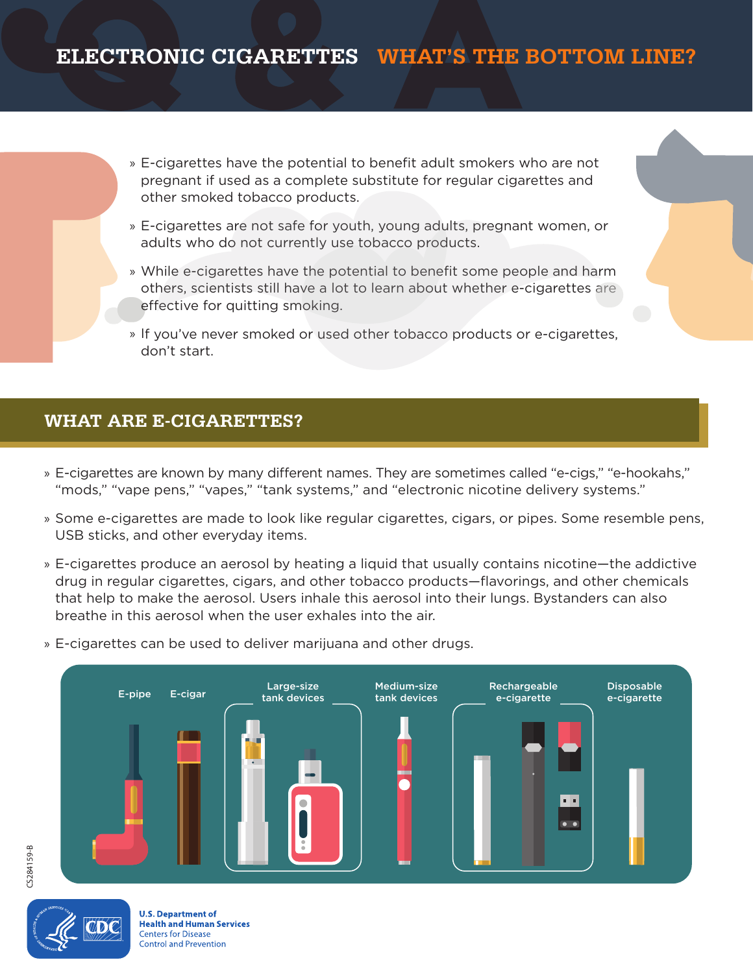# **ELECTRONIC CIGARETTES WHAT'S THE BOTTOM LINE?**

- » E-cigarettes have the potential to benefit adult smokers who are not pregnant if used as a complete substitute for regular cigarettes and other smoked tobacco products.
- E-cigarettes are not safe for youth, young adults, pregnant women, or adults who do not currently use tobacco products.
- While e-cigarettes have the potential to benefit some people and harm others, scientists still have a lot to learn about whether e-cigarettes are effective for quitting smoking.
- » If you've never smoked or used other tobacco products or e-cigarettes, don't start.

# **WHAT ARE E-CIGARETTES?**

- » E-cigarettes are known by many different names. They are sometimes called "e-cigs," "e-hookahs," "mods," "vape pens," "vapes," "tank systems," and "electronic nicotine delivery systems."
- Some e-cigarettes are made to look like regular cigarettes, cigars, or pipes. Some resemble pens, USB sticks, and other everyday items.
- E-cigarettes produce an aerosol by heating a liquid that usually contains nicotine—the addictive drug in regular cigarettes, cigars, and other tobacco products—flavorings, and other chemicals that help to make the aerosol. Users inhale this aerosol into their lungs. Bystanders can also breathe in this aerosol when the user exhales into the air.
- » E-cigarettes can be used to deliver marijuana and other drugs.



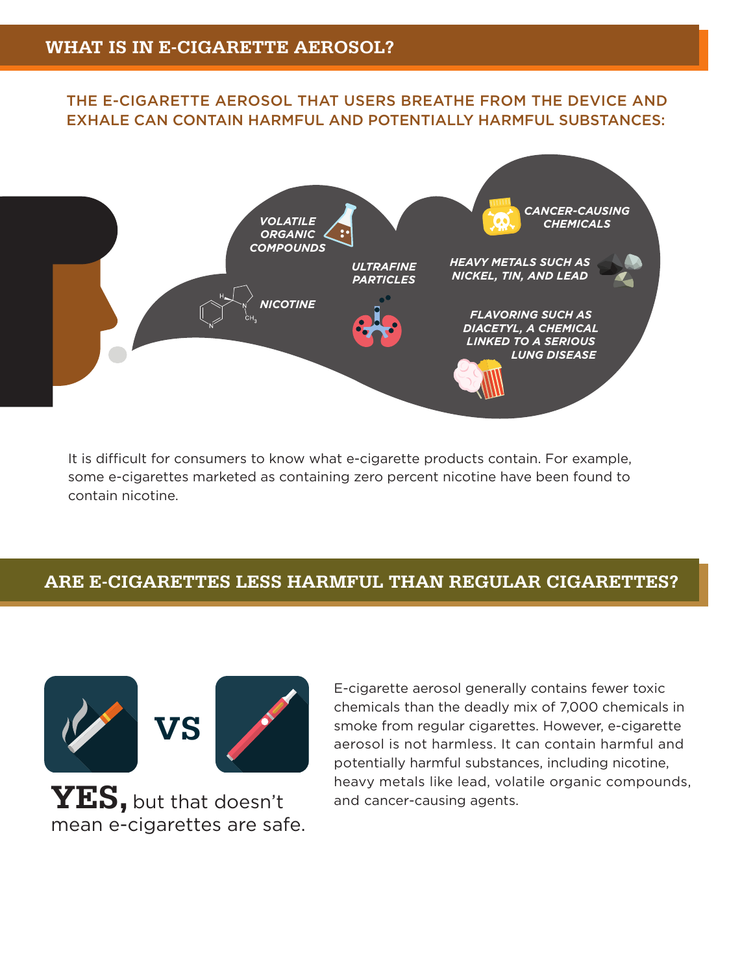## THE E-CIGARETTE AEROSOL THAT USERS BREATHE FROM THE DEVICE AND EXHALE CAN CONTAIN HARMFUL AND POTENTIALLY HARMFUL SUBSTANCES:



It is difficult for consumers to know what e-cigarette products contain. For example, some e-cigarettes marketed as containing zero percent nicotine have been found to contain nicotine.

# **ARE E-CIGARETTES LESS HARMFUL THAN REGULAR CIGARETTES?**



**YES,** but that doesn't mean e-cigarettes are safe. E-cigarette aerosol generally contains fewer toxic chemicals than the deadly mix of 7,000 chemicals in smoke from regular cigarettes. However, e-cigarette aerosol is not harmless. It can contain harmful and potentially harmful substances, including nicotine, heavy metals like lead, volatile organic compounds, and cancer-causing agents.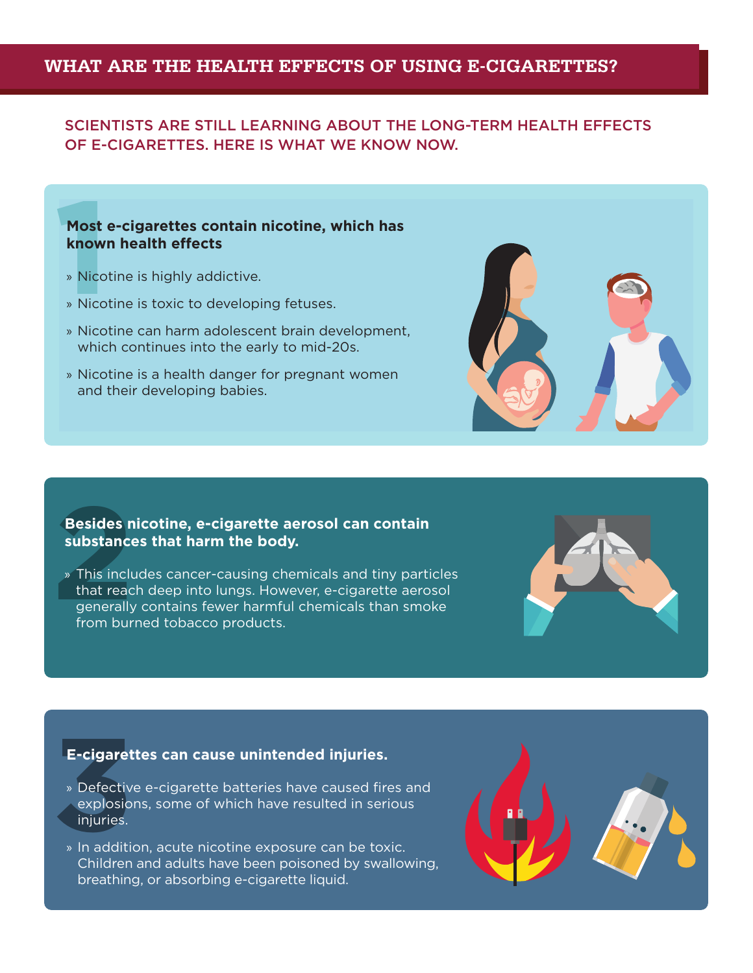## **WHAT ARE THE HEALTH EFFECTS OF USING E-CIGARETTES?**

## SCIENTISTS ARE STILL LEARNING ABOUT THE LONG-TERM HEALTH EFFECTS OF E-CIGARETTES. HERE IS WHAT WE KNOW NOW.

# **11**<br> **11**<br> **11**<br> **11**<br> **11**<br> **11**<br> **11**<br> **11**<br> **11**<br> **11**<br> **11**<br> **11**<br> **11**<br> **11**<br> **11**<br> **11**<br> **11**<br> **11 Most e-cigarettes contain nicotine, which has known health effects**

- » Nicotine is highly addictive.
- » Nicotine is toxic to developing fetuses.
- » Nicotine can harm adolescent brain development, which continues into the early to mid-20s.
- » Nicotine is a health danger for pregnant women and their developing babies.



#### **Besides nicotine, e-cigarette aerosol can contain substances that harm the body.**

**Besides n<br>
substance**<br> **<sup>2</sup>** This incluse<br>
that read<br>
generally<br>
from bur » This includes cancer-causing chemicals and tiny particles that reach deep into lungs. However, e-cigarette aerosol generally contains fewer harmful chemicals than smoke from burned tobacco products.



#### **E-cigarettes can cause unintended injuries.**

- E-cigaret<br>
» Defectiv<br>
explosio<br>
injuries.<br>
» In additive » Defective e-cigarette batteries have caused fires and explosions, some of which have resulted in serious injuries.
	- » In addition, acute nicotine exposure can be toxic. Children and adults have been poisoned by swallowing, breathing, or absorbing e-cigarette liquid.

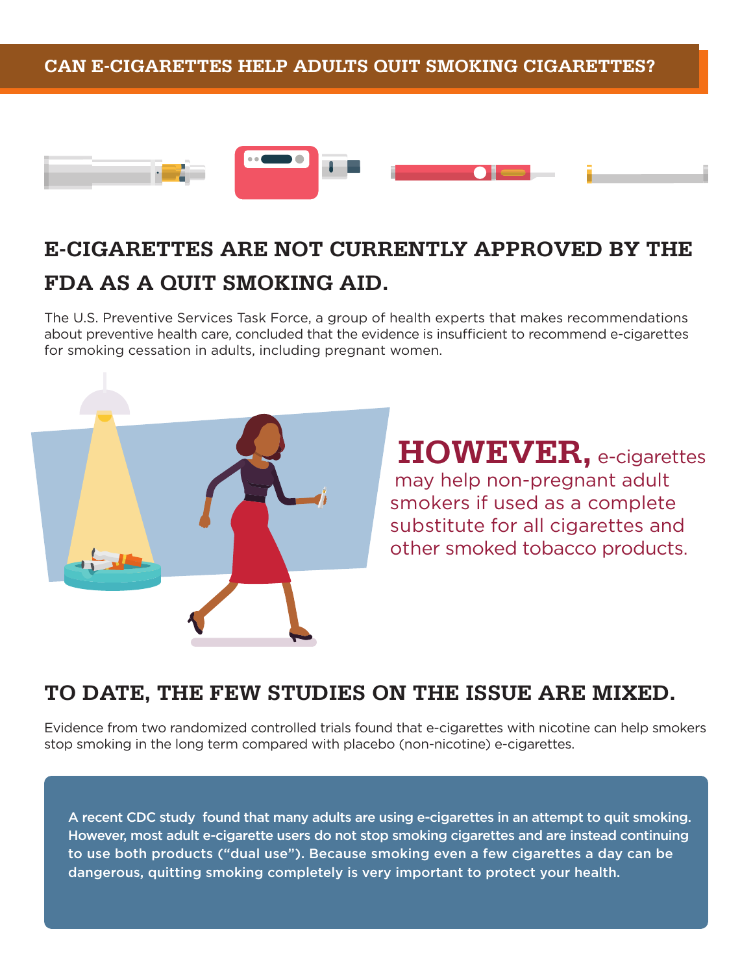## **CAN E-CIGARETTES HELP ADULTS QUIT SMOKING CIGARETTES?**



# **E-CIGARETTES ARE NOT CURRENTLY APPROVED BY THE FDA AS A QUIT SMOKING AID.**

The U.S. Preventive Services Task Force, a group of health experts that makes recommendations about preventive health care, concluded that the evidence is insufficient to recommend e-cigarettes for smoking cessation in adults, including pregnant women.



**HOWEVER,** e-cigarettes may help non-pregnant adult smokers if used as a complete substitute for all cigarettes and other smoked tobacco products.

# **TO DATE, THE FEW STUDIES ON THE ISSUE ARE MIXED.**

Evidence from two randomized controlled trials found that e-cigarettes with nicotine can help smokers stop smoking in the long term compared with placebo (non-nicotine) e-cigarettes.

A recent CDC study found that many adults are using e-cigarettes in an attempt to quit smoking. However, most adult e-cigarette users do not stop smoking cigarettes and are instead continuing to use both products ("dual use"). Because smoking even a few cigarettes a day can be dangerous, quitting smoking completely is very important to protect your health.